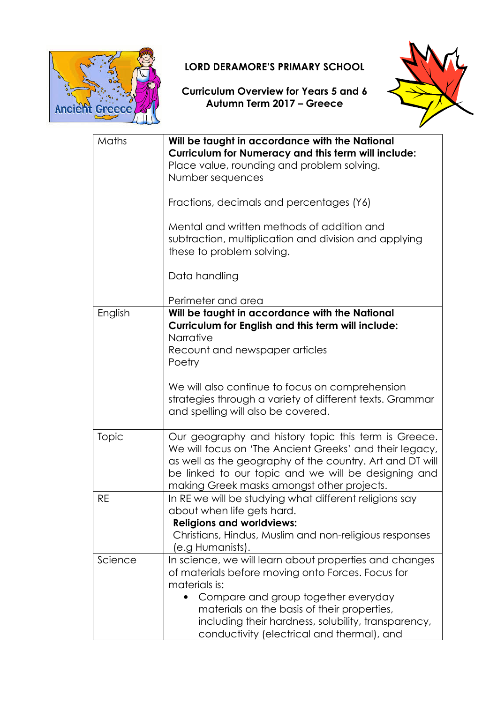

## LORD DERAMORE'S PRIMARY SCHOOL

## Curriculum Overview for Years 5 and 6 Autumn Term 2017 – Greece



| Maths   | Will be taught in accordance with the National<br><b>Curriculum for Numeracy and this term will include:</b><br>Place value, rounding and problem solving.<br>Number sequences                                                                                                   |
|---------|----------------------------------------------------------------------------------------------------------------------------------------------------------------------------------------------------------------------------------------------------------------------------------|
|         | Fractions, decimals and percentages (Y6)                                                                                                                                                                                                                                         |
|         | Mental and written methods of addition and<br>subtraction, multiplication and division and applying<br>these to problem solving.                                                                                                                                                 |
|         | Data handling                                                                                                                                                                                                                                                                    |
|         | Perimeter and area                                                                                                                                                                                                                                                               |
| English | Will be taught in accordance with the National<br>Curriculum for English and this term will include:<br>Narrative<br>Recount and newspaper articles<br>Poetry                                                                                                                    |
|         | We will also continue to focus on comprehension<br>strategies through a variety of different texts. Grammar<br>and spelling will also be covered.                                                                                                                                |
| Topic   | Our geography and history topic this term is Greece.<br>We will focus on 'The Ancient Greeks' and their legacy,<br>as well as the geography of the country. Art and DT will<br>be linked to our topic and we will be designing and<br>making Greek masks amongst other projects. |
| RE      | In RE we will be studying what different religions say<br>about when life gets hard.<br><b>Religions and worldviews:</b><br>Christians, Hindus, Muslim and non-religious responses                                                                                               |
|         | (e.g Humanists).                                                                                                                                                                                                                                                                 |
| Science | In science, we will learn about properties and changes<br>of materials before moving onto Forces. Focus for<br>materials is:                                                                                                                                                     |
|         | Compare and group together everyday<br>materials on the basis of their properties,<br>including their hardness, solubility, transparency,<br>conductivity (electrical and thermal), and                                                                                          |